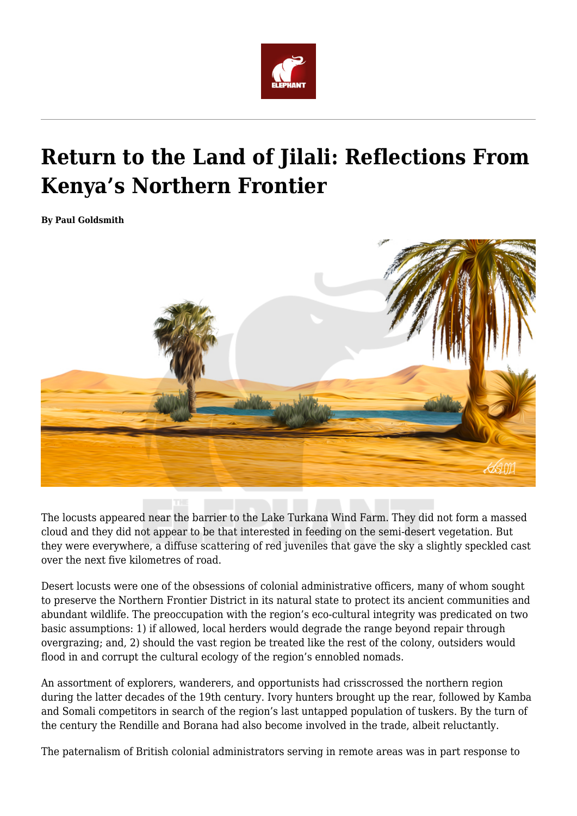

# **Return to the Land of Jilali: Reflections From Kenya's Northern Frontier**

**By Paul Goldsmith**



The locusts appeared near the barrier to the Lake Turkana Wind Farm. They did not form a massed cloud and they did not appear to be that interested in feeding on the semi-desert vegetation. But they were everywhere, a diffuse scattering of red juveniles that gave the sky a slightly speckled cast over the next five kilometres of road.

Desert locusts were one of the obsessions of colonial administrative officers, many of whom sought to preserve the Northern Frontier District in its natural state to protect its ancient communities and abundant wildlife. The preoccupation with the region's eco-cultural integrity was predicated on two basic assumptions: 1) if allowed, local herders would degrade the range beyond repair through overgrazing; and, 2) should the vast region be treated like the rest of the colony, outsiders would flood in and corrupt the cultural ecology of the region's ennobled nomads.

An assortment of explorers, wanderers, and opportunists had crisscrossed the northern region during the latter decades of the 19th century. Ivory hunters brought up the rear, followed by Kamba and Somali competitors in search of the region's last untapped population of tuskers. By the turn of the century the Rendille and Borana had also become involved in the trade, albeit reluctantly.

The paternalism of British colonial administrators serving in remote areas was in part response to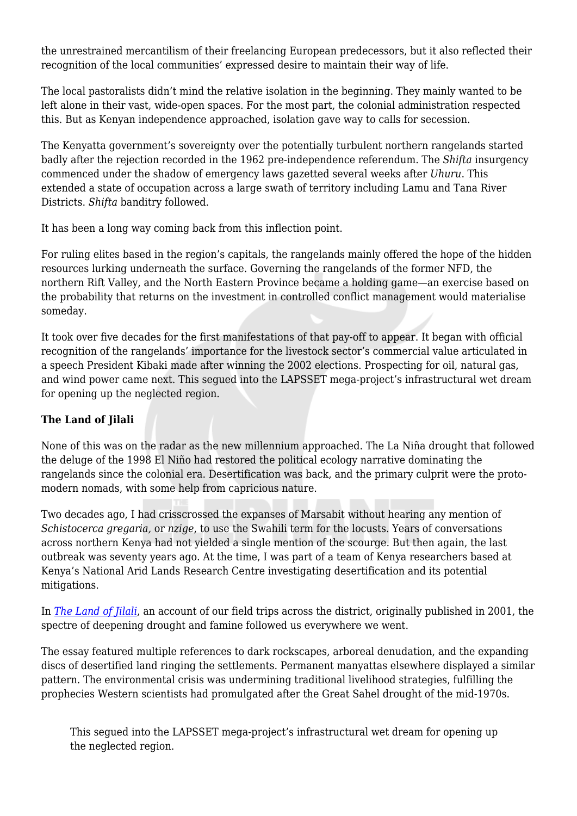the unrestrained mercantilism of their freelancing European predecessors, but it also reflected their recognition of the local communities' expressed desire to maintain their way of life.

The local pastoralists didn't mind the relative isolation in the beginning. They mainly wanted to be left alone in their vast, wide-open spaces. For the most part, the colonial administration respected this. But as Kenyan independence approached, isolation gave way to calls for secession.

The Kenyatta government's sovereignty over the potentially turbulent northern rangelands started badly after the rejection recorded in the 1962 pre-independence referendum. The *Shifta* insurgency commenced under the shadow of emergency laws gazetted several weeks after *Uhuru*. This extended a state of occupation across a large swath of territory including Lamu and Tana River Districts. *Shifta* banditry followed.

It has been a long way coming back from this inflection point.

For ruling elites based in the region's capitals, the rangelands mainly offered the hope of the hidden resources lurking underneath the surface. Governing the rangelands of the former NFD, the northern Rift Valley, and the North Eastern Province became a holding game—an exercise based on the probability that returns on the investment in controlled conflict management would materialise someday.

It took over five decades for the first manifestations of that pay-off to appear. It began with official recognition of the rangelands' importance for the livestock sector's commercial value articulated in a speech President Kibaki made after winning the 2002 elections. Prospecting for oil, natural gas, and wind power came next. This segued into the LAPSSET mega-project's infrastructural wet dream for opening up the neglected region.

## **The Land of Jilali**

None of this was on the radar as the new millennium approached. The La Niña drought that followed the deluge of the 1998 El Niño had restored the political ecology narrative dominating the rangelands since the colonial era. Desertification was back, and the primary culprit were the protomodern nomads, with some help from capricious nature.

Two decades ago, I had crisscrossed the expanses of Marsabit without hearing any mention of *Schistocerca gregaria,* or *nzige*, to use the Swahili term for the locusts. Years of conversations across northern Kenya had not yielded a single mention of the scourge. But then again, the last outbreak was seventy years ago. At the time, I was part of a team of Kenya researchers based at Kenya's National Arid Lands Research Centre investigating desertification and its potential mitigations.

In *[The Land of Jilali](http://asq.africa.ufl.edu/file)*, an account of our field trips across the district, originally published in 2001, the spectre of deepening drought and famine followed us everywhere we went.

The essay featured multiple references to dark rockscapes, arboreal denudation, and the expanding discs of desertified land ringing the settlements. Permanent manyattas elsewhere displayed a similar pattern. The environmental crisis was undermining traditional livelihood strategies, fulfilling the prophecies Western scientists had promulgated after the Great Sahel drought of the mid-1970s.

This segued into the LAPSSET mega-project's infrastructural wet dream for opening up the neglected region.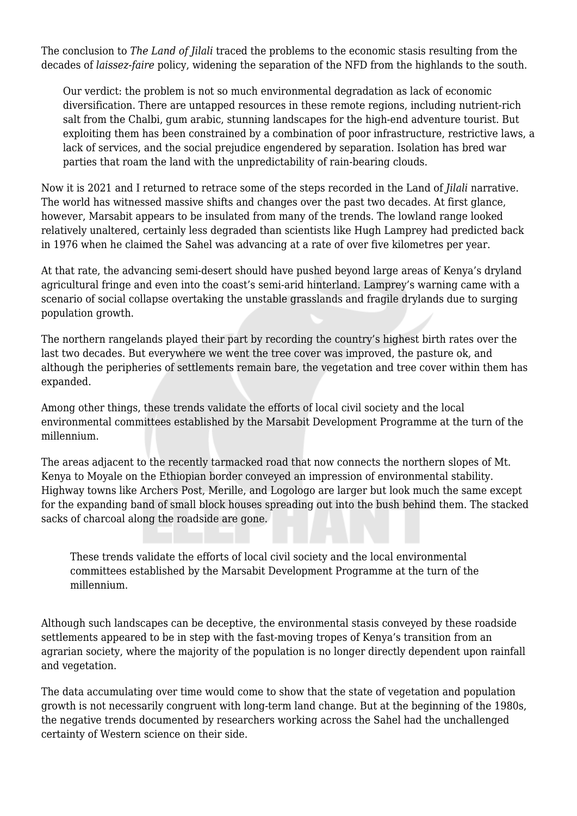The conclusion to *The Land of Jilali* traced the problems to the economic stasis resulting from the decades of *laissez-faire* policy, widening the separation of the NFD from the highlands to the south.

Our verdict: the problem is not so much environmental degradation as lack of economic diversification. There are untapped resources in these remote regions, including nutrient-rich salt from the Chalbi, gum arabic, stunning landscapes for the high-end adventure tourist. But exploiting them has been constrained by a combination of poor infrastructure, restrictive laws, a lack of services, and the social prejudice engendered by separation. Isolation has bred war parties that roam the land with the unpredictability of rain-bearing clouds.

Now it is 2021 and I returned to retrace some of the steps recorded in the Land of *Jilali* narrative. The world has witnessed massive shifts and changes over the past two decades. At first glance, however, Marsabit appears to be insulated from many of the trends. The lowland range looked relatively unaltered, certainly less degraded than scientists like Hugh Lamprey had predicted back in 1976 when he claimed the Sahel was advancing at a rate of over five kilometres per year.

At that rate, the advancing semi-desert should have pushed beyond large areas of Kenya's dryland agricultural fringe and even into the coast's semi-arid hinterland. Lamprey's warning came with a scenario of social collapse overtaking the unstable grasslands and fragile drylands due to surging population growth.

The northern rangelands played their part by recording the country's highest birth rates over the last two decades. But everywhere we went the tree cover was improved, the pasture ok, and although the peripheries of settlements remain bare, the vegetation and tree cover within them has expanded.

Among other things, these trends validate the efforts of local civil society and the local environmental committees established by the Marsabit Development Programme at the turn of the millennium.

The areas adjacent to the recently tarmacked road that now connects the northern slopes of Mt. Kenya to Moyale on the Ethiopian border conveyed an impression of environmental stability. Highway towns like Archers Post, Merille, and Logologo are larger but look much the same except for the expanding band of small block houses spreading out into the bush behind them. The stacked sacks of charcoal along the roadside are gone.

These trends validate the efforts of local civil society and the local environmental committees established by the Marsabit Development Programme at the turn of the millennium.

Although such landscapes can be deceptive, the environmental stasis conveyed by these roadside settlements appeared to be in step with the fast-moving tropes of Kenya's transition from an agrarian society, where the majority of the population is no longer directly dependent upon rainfall and vegetation.

The data accumulating over time would come to show that the state of vegetation and population growth is not necessarily congruent with long-term land change. But at the beginning of the 1980s, the negative trends documented by researchers working across the Sahel had the unchallenged certainty of Western science on their side.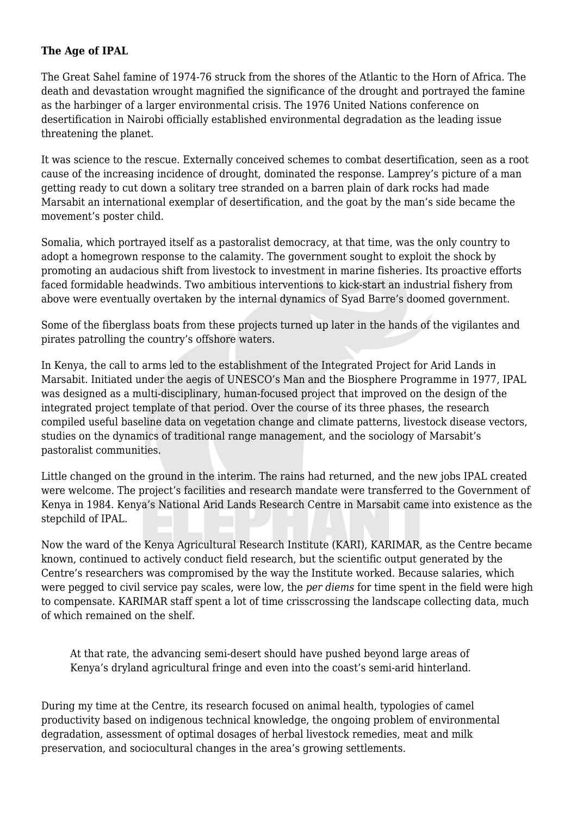#### **The Age of IPAL**

The Great Sahel famine of 1974-76 struck from the shores of the Atlantic to the Horn of Africa. The death and devastation wrought magnified the significance of the drought and portrayed the famine as the harbinger of a larger environmental crisis. The 1976 United Nations conference on desertification in Nairobi officially established environmental degradation as the leading issue threatening the planet.

It was science to the rescue. Externally conceived schemes to combat desertification, seen as a root cause of the increasing incidence of drought, dominated the response. Lamprey's picture of a man getting ready to cut down a solitary tree stranded on a barren plain of dark rocks had made Marsabit an international exemplar of desertification, and the goat by the man's side became the movement's poster child.

Somalia, which portrayed itself as a pastoralist democracy, at that time, was the only country to adopt a homegrown response to the calamity. The government sought to exploit the shock by promoting an audacious shift from livestock to investment in marine fisheries. Its proactive efforts faced formidable headwinds. Two ambitious interventions to kick-start an industrial fishery from above were eventually overtaken by the internal dynamics of Syad Barre's doomed government.

Some of the fiberglass boats from these projects turned up later in the hands of the vigilantes and pirates patrolling the country's offshore waters.

In Kenya, the call to arms led to the establishment of the Integrated Project for Arid Lands in Marsabit. Initiated under the aegis of UNESCO's Man and the Biosphere Programme in 1977, IPAL was designed as a multi-disciplinary, human-focused project that improved on the design of the integrated project template of that period. Over the course of its three phases, the research compiled useful baseline data on vegetation change and climate patterns, livestock disease vectors, studies on the dynamics of traditional range management, and the sociology of Marsabit's pastoralist communities.

Little changed on the ground in the interim. The rains had returned, and the new jobs IPAL created were welcome. The project's facilities and research mandate were transferred to the Government of Kenya in 1984. Kenya's National Arid Lands Research Centre in Marsabit came into existence as the stepchild of IPAL.

Now the ward of the Kenya Agricultural Research Institute (KARI), KARIMAR, as the Centre became known, continued to actively conduct field research, but the scientific output generated by the Centre's researchers was compromised by the way the Institute worked. Because salaries, which were pegged to civil service pay scales, were low, the *per diems* for time spent in the field were high to compensate. KARIMAR staff spent a lot of time crisscrossing the landscape collecting data, much of which remained on the shelf.

At that rate, the advancing semi-desert should have pushed beyond large areas of Kenya's dryland agricultural fringe and even into the coast's semi-arid hinterland.

During my time at the Centre, its research focused on animal health, typologies of camel productivity based on indigenous technical knowledge, the ongoing problem of environmental degradation, assessment of optimal dosages of herbal livestock remedies, meat and milk preservation, and sociocultural changes in the area's growing settlements.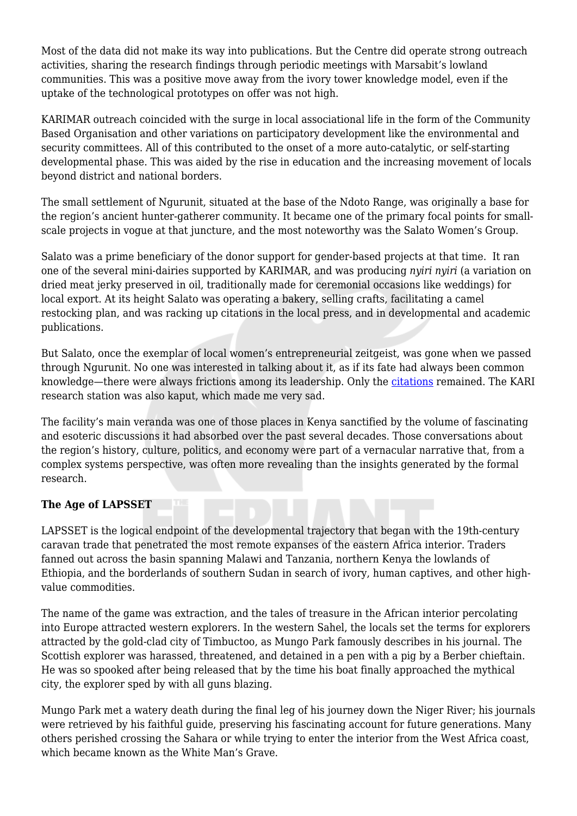Most of the data did not make its way into publications. But the Centre did operate strong outreach activities, sharing the research findings through periodic meetings with Marsabit's lowland communities. This was a positive move away from the ivory tower knowledge model, even if the uptake of the technological prototypes on offer was not high.

KARIMAR outreach coincided with the surge in local associational life in the form of the Community Based Organisation and other variations on participatory development like the environmental and security committees. All of this contributed to the onset of a more auto-catalytic, or self-starting developmental phase. This was aided by the rise in education and the increasing movement of locals beyond district and national borders.

The small settlement of Ngurunit, situated at the base of the Ndoto Range, was originally a base for the region's ancient hunter-gatherer community. It became one of the primary focal points for smallscale projects in vogue at that juncture, and the most noteworthy was the Salato Women's Group.

Salato was a prime beneficiary of the donor support for gender-based projects at that time. It ran one of the several mini-dairies supported by KARIMAR, and was producing *nyiri nyiri* (a variation on dried meat jerky preserved in oil, traditionally made for ceremonial occasions like weddings) for local export. At its height Salato was operating a bakery, selling crafts, facilitating a camel restocking plan, and was racking up citations in the local press, and in developmental and academic publications.

But Salato, once the exemplar of local women's entrepreneurial zeitgeist, was gone when we passed through Ngurunit. No one was interested in talking about it, as if its fate had always been common knowledge—there were always frictions among its leadership. Only the [citations](https://www.jarts.info/index.php/jarts/article/download/2018121865/949) remained. The KARI research station was also kaput, which made me very sad.

The facility's main veranda was one of those places in Kenya sanctified by the volume of fascinating and esoteric discussions it had absorbed over the past several decades. Those conversations about the region's history, culture, politics, and economy were part of a vernacular narrative that, from a complex systems perspective, was often more revealing than the insights generated by the formal research.

### **The Age of LAPSSET**

LAPSSET is the logical endpoint of the developmental trajectory that began with the 19th-century caravan trade that penetrated the most remote expanses of the eastern Africa interior. Traders fanned out across the basin spanning Malawi and Tanzania, northern Kenya the lowlands of Ethiopia, and the borderlands of southern Sudan in search of ivory, human captives, and other highvalue commodities.

The name of the game was extraction, and the tales of treasure in the African interior percolating into Europe attracted western explorers. In the western Sahel, the locals set the terms for explorers attracted by the gold-clad city of Timbuctoo, as Mungo Park famously describes in his journal. The Scottish explorer was harassed, threatened, and detained in a pen with a pig by a Berber chieftain. He was so spooked after being released that by the time his boat finally approached the mythical city, the explorer sped by with all guns blazing.

Mungo Park met a watery death during the final leg of his journey down the Niger River; his journals were retrieved by his faithful guide, preserving his fascinating account for future generations. Many others perished crossing the Sahara or while trying to enter the interior from the West Africa coast, which became known as the White Man's Grave.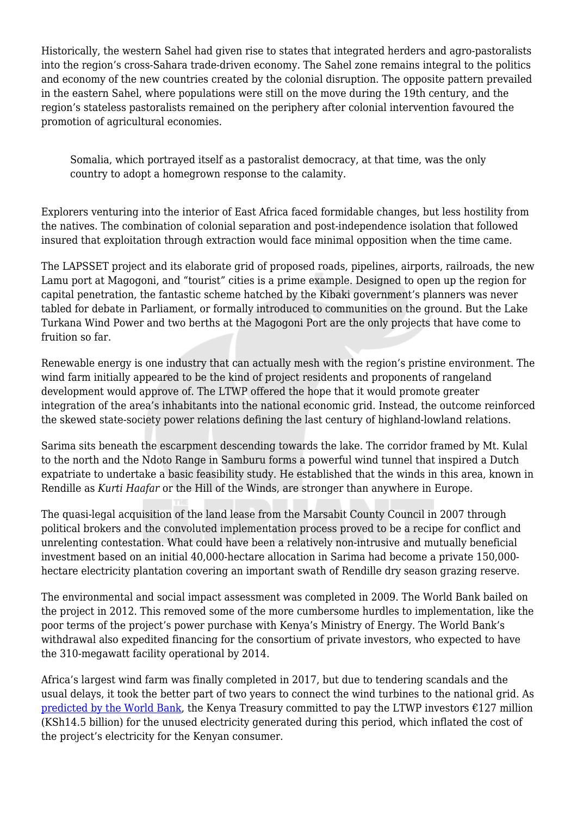Historically, the western Sahel had given rise to states that integrated herders and agro-pastoralists into the region's cross-Sahara trade-driven economy. The Sahel zone remains integral to the politics and economy of the new countries created by the colonial disruption. The opposite pattern prevailed in the eastern Sahel, where populations were still on the move during the 19th century, and the region's stateless pastoralists remained on the periphery after colonial intervention favoured the promotion of agricultural economies.

Somalia, which portrayed itself as a pastoralist democracy, at that time, was the only country to adopt a homegrown response to the calamity.

Explorers venturing into the interior of East Africa faced formidable changes, but less hostility from the natives. The combination of colonial separation and post-independence isolation that followed insured that exploitation through extraction would face minimal opposition when the time came.

The LAPSSET project and its elaborate grid of proposed roads, pipelines, airports, railroads, the new Lamu port at Magogoni, and "tourist" cities is a prime example. Designed to open up the region for capital penetration, the fantastic scheme hatched by the Kibaki government's planners was never tabled for debate in Parliament, or formally introduced to communities on the ground. But the Lake Turkana Wind Power and two berths at the Magogoni Port are the only projects that have come to fruition so far.

Renewable energy is one industry that can actually mesh with the region's pristine environment. The wind farm initially appeared to be the kind of project residents and proponents of rangeland development would approve of. The LTWP offered the hope that it would promote greater integration of the area's inhabitants into the national economic grid. Instead, the outcome reinforced the skewed state-society power relations defining the last century of highland-lowland relations.

Sarima sits beneath the escarpment descending towards the lake. The corridor framed by Mt. Kulal to the north and the Ndoto Range in Samburu forms a powerful wind tunnel that inspired a Dutch expatriate to undertake a basic feasibility study. He established that the winds in this area, known in Rendille as *Kurti Haafar* or the Hill of the Winds, are stronger than anywhere in Europe.

The quasi-legal acquisition of the land lease from the Marsabit County Council in 2007 through political brokers and the convoluted implementation process proved to be a recipe for conflict and unrelenting contestation. What could have been a relatively non-intrusive and mutually beneficial investment based on an initial 40,000-hectare allocation in Sarima had become a private 150,000 hectare electricity plantation covering an important swath of Rendille dry season grazing reserve.

The environmental and social impact assessment was completed in 2009. The World Bank bailed on the project in 2012. This removed some of the more cumbersome hurdles to implementation, like the poor terms of the project's power purchase with Kenya's Ministry of Energy. The World Bank's withdrawal also expedited financing for the consortium of private investors, who expected to have the 310-megawatt facility operational by 2014.

Africa's largest wind farm was finally completed in 2017, but due to tendering scandals and the usual delays, it took the better part of two years to connect the wind turbines to the national grid. As [predicted by the World Bank](https://www.businessdailyafrica.com/bd/economy/kenya-power-s-deal-that-forced-world-bank-out-of-wind-farm--2016716), the Kenya Treasury committed to pay the LTWP investors  $\epsilon$ 127 million (KSh14.5 billion) for the unused electricity generated during this period, which inflated the cost of the project's electricity for the Kenyan consumer.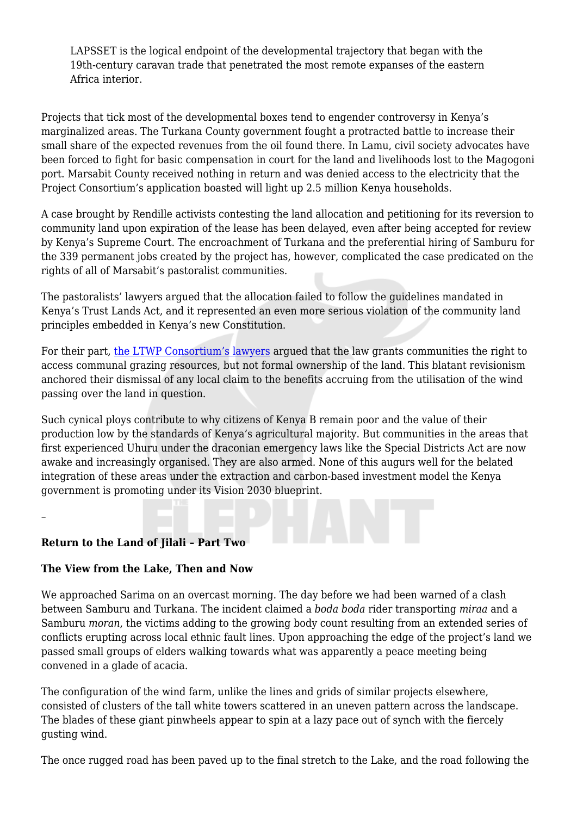LAPSSET is the logical endpoint of the developmental trajectory that began with the 19th-century caravan trade that penetrated the most remote expanses of the eastern Africa interior.

Projects that tick most of the developmental boxes tend to engender controversy in Kenya's marginalized areas. The Turkana County government fought a protracted battle to increase their small share of the expected revenues from the oil found there. In Lamu, civil society advocates have been forced to fight for basic compensation in court for the land and livelihoods lost to the Magogoni port. Marsabit County received nothing in return and was denied access to the electricity that the Project Consortium's application boasted will light up 2.5 million Kenya households.

A case brought by Rendille activists contesting the land allocation and petitioning for its reversion to community land upon expiration of the lease has been delayed, even after being accepted for review by Kenya's Supreme Court. The encroachment of Turkana and the preferential hiring of Samburu for the 339 permanent jobs created by the project has, however, complicated the case predicated on the rights of all of Marsabit's pastoralist communities.

The pastoralists' lawyers argued that the allocation failed to follow the guidelines mandated in Kenya's Trust Lands Act, and it represented an even more serious violation of the community land principles embedded in Kenya's new Constitution.

For their part, [the LTWP Consortium's lawyers](https://old.danwatch.dk/undersogelse/a-people-in-the-way-of-progress/) argued that the law grants communities the right to access communal grazing resources, but not formal ownership of the land. This blatant revisionism anchored their dismissal of any local claim to the benefits accruing from the utilisation of the wind passing over the land in question.

Such cynical ploys contribute to why citizens of Kenya B remain poor and the value of their production low by the standards of Kenya's agricultural majority. But communities in the areas that first experienced Uhuru under the draconian emergency laws like the Special Districts Act are now awake and increasingly organised. They are also armed. None of this augurs well for the belated integration of these areas under the extraction and carbon-based investment model the Kenya government is promoting under its Vision 2030 blueprint.

### **Return to the Land of Jilali – Part Two**

–

### **The View from the Lake, Then and Now**

We approached Sarima on an overcast morning. The day before we had been warned of a clash between Samburu and Turkana. The incident claimed a *boda boda* rider transporting *miraa* and a Samburu *moran*, the victims adding to the growing body count resulting from an extended series of conflicts erupting across local ethnic fault lines. Upon approaching the edge of the project's land we passed small groups of elders walking towards what was apparently a peace meeting being convened in a glade of acacia.

The configuration of the wind farm, unlike the lines and grids of similar projects elsewhere, consisted of clusters of the tall white towers scattered in an uneven pattern across the landscape. The blades of these giant pinwheels appear to spin at a lazy pace out of synch with the fiercely gusting wind.

The once rugged road has been paved up to the final stretch to the Lake, and the road following the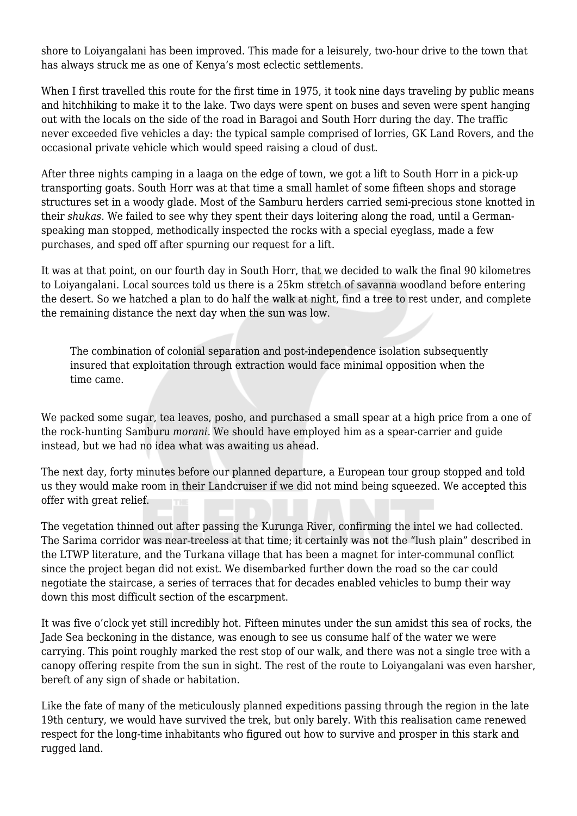shore to Loiyangalani has been improved. This made for a leisurely, two-hour drive to the town that has always struck me as one of Kenya's most eclectic settlements.

When I first travelled this route for the first time in 1975, it took nine days traveling by public means and hitchhiking to make it to the lake. Two days were spent on buses and seven were spent hanging out with the locals on the side of the road in Baragoi and South Horr during the day. The traffic never exceeded five vehicles a day: the typical sample comprised of lorries, GK Land Rovers, and the occasional private vehicle which would speed raising a cloud of dust.

After three nights camping in a laaga on the edge of town, we got a lift to South Horr in a pick-up transporting goats. South Horr was at that time a small hamlet of some fifteen shops and storage structures set in a woody glade. Most of the Samburu herders carried semi-precious stone knotted in their *shukas*. We failed to see why they spent their days loitering along the road, until a Germanspeaking man stopped, methodically inspected the rocks with a special eyeglass, made a few purchases, and sped off after spurning our request for a lift.

It was at that point, on our fourth day in South Horr, that we decided to walk the final 90 kilometres to Loiyangalani. Local sources told us there is a 25km stretch of savanna woodland before entering the desert. So we hatched a plan to do half the walk at night, find a tree to rest under, and complete the remaining distance the next day when the sun was low.

The combination of colonial separation and post-independence isolation subsequently insured that exploitation through extraction would face minimal opposition when the time came.

We packed some sugar, tea leaves, posho, and purchased a small spear at a high price from a one of the rock-hunting Samburu *morani*. We should have employed him as a spear-carrier and guide instead, but we had no idea what was awaiting us ahead.

The next day, forty minutes before our planned departure, a European tour group stopped and told us they would make room in their Landcruiser if we did not mind being squeezed. We accepted this offer with great relief.

The vegetation thinned out after passing the Kurunga River, confirming the intel we had collected. The Sarima corridor was near-treeless at that time; it certainly was not the "lush plain" described in the LTWP literature, and the Turkana village that has been a magnet for inter-communal conflict since the project began did not exist. We disembarked further down the road so the car could negotiate the staircase, a series of terraces that for decades enabled vehicles to bump their way down this most difficult section of the escarpment.

It was five o'clock yet still incredibly hot. Fifteen minutes under the sun amidst this sea of rocks, the Jade Sea beckoning in the distance, was enough to see us consume half of the water we were carrying. This point roughly marked the rest stop of our walk, and there was not a single tree with a canopy offering respite from the sun in sight. The rest of the route to Loiyangalani was even harsher, bereft of any sign of shade or habitation.

Like the fate of many of the meticulously planned expeditions passing through the region in the late 19th century, we would have survived the trek, but only barely. With this realisation came renewed respect for the long-time inhabitants who figured out how to survive and prosper in this stark and rugged land.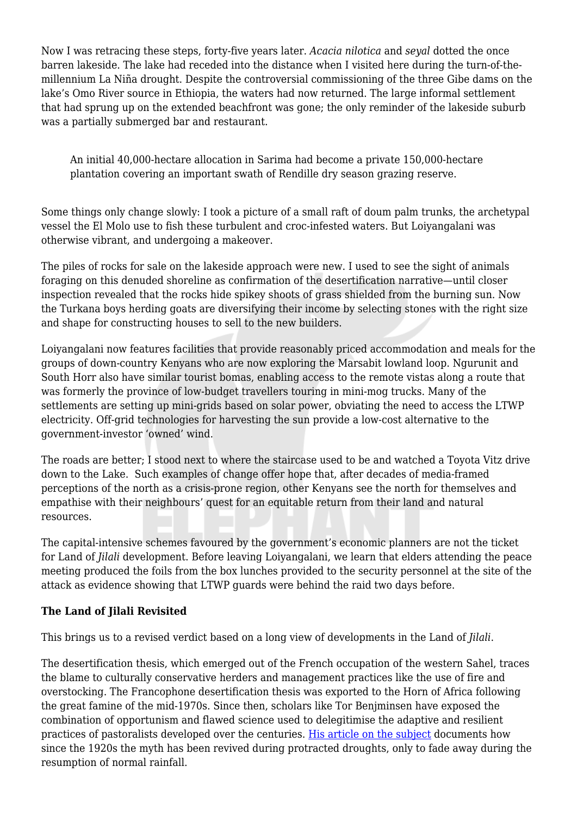Now I was retracing these steps, forty-five years later. *Acacia nilotica* and *seyal* dotted the once barren lakeside. The lake had receded into the distance when I visited here during the turn-of-themillennium La Niña drought. Despite the controversial commissioning of the three Gibe dams on the lake's Omo River source in Ethiopia, the waters had now returned. The large informal settlement that had sprung up on the extended beachfront was gone; the only reminder of the lakeside suburb was a partially submerged bar and restaurant.

An initial 40,000-hectare allocation in Sarima had become a private 150,000-hectare plantation covering an important swath of Rendille dry season grazing reserve.

Some things only change slowly: I took a picture of a small raft of doum palm trunks, the archetypal vessel the El Molo use to fish these turbulent and croc-infested waters. But Loiyangalani was otherwise vibrant, and undergoing a makeover.

The piles of rocks for sale on the lakeside approach were new. I used to see the sight of animals foraging on this denuded shoreline as confirmation of the desertification narrative—until closer inspection revealed that the rocks hide spikey shoots of grass shielded from the burning sun. Now the Turkana boys herding goats are diversifying their income by selecting stones with the right size and shape for constructing houses to sell to the new builders.

Loiyangalani now features facilities that provide reasonably priced accommodation and meals for the groups of down-country Kenyans who are now exploring the Marsabit lowland loop. Ngurunit and South Horr also have similar tourist bomas, enabling access to the remote vistas along a route that was formerly the province of low-budget travellers touring in mini-mog trucks. Many of the settlements are setting up mini-grids based on solar power, obviating the need to access the LTWP electricity. Off-grid technologies for harvesting the sun provide a low-cost alternative to the government-investor 'owned' wind.

The roads are better; I stood next to where the staircase used to be and watched a Toyota Vitz drive down to the Lake. Such examples of change offer hope that, after decades of media-framed perceptions of the north as a crisis-prone region, other Kenyans see the north for themselves and empathise with their neighbours' quest for an equitable return from their land and natural resources.

The capital-intensive schemes favoured by the government's economic planners are not the ticket for Land of *Jilali* development. Before leaving Loiyangalani, we learn that elders attending the peace meeting produced the foils from the box lunches provided to the security personnel at the site of the attack as evidence showing that LTWP guards were behind the raid two days before.

### **The Land of Jilali Revisited**

This brings us to a revised verdict based on a long view of developments in the Land of *Jilali*.

The desertification thesis, which emerged out of the French occupation of the western Sahel, traces the blame to culturally conservative herders and management practices like the use of fire and overstocking. The Francophone desertification thesis was exported to the Horn of Africa following the great famine of the mid-1970s. Since then, scholars like Tor Benjminsen have exposed the combination of opportunism and flawed science used to delegitimise the adaptive and resilient practices of pastoralists developed over the centuries. [His article on the subject](https://www.academia.edu/2522969/Myths_of_Timbuktu_From_African_El_Dorado_to_Desertification) documents how since the 1920s the myth has been revived during protracted droughts, only to fade away during the resumption of normal rainfall.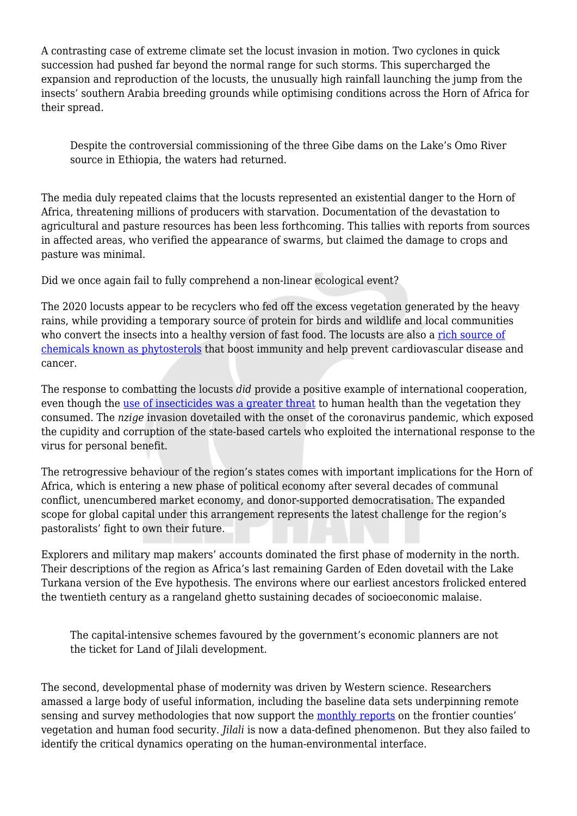A contrasting case of extreme climate set the locust invasion in motion. Two cyclones in quick succession had pushed far beyond the normal range for such storms. This supercharged the expansion and reproduction of the locusts, the unusually high rainfall launching the jump from the insects' southern Arabia breeding grounds while optimising conditions across the Horn of Africa for their spread.

Despite the controversial commissioning of the three Gibe dams on the Lake's Omo River source in Ethiopia, the waters had returned.

The media duly repeated claims that the locusts represented an existential danger to the Horn of Africa, threatening millions of producers with starvation. Documentation of the devastation to agricultural and pasture resources has been less forthcoming. This tallies with reports from sources in affected areas, who verified the appearance of swarms, but claimed the damage to crops and pasture was minimal.

Did we once again fail to fully comprehend a non-linear ecological event?

The 2020 locusts appear to be recyclers who fed off the excess vegetation generated by the heavy rains, while providing a temporary source of protein for birds and wildlife and local communities who convert the insects into a healthy version of fast food. The locusts are also a [rich source of](https://www.scidev.net/sub-saharan-africa/news/desert-locusts-dietary-health-benefits/) [chemicals known as phytosterols](https://www.scidev.net/sub-saharan-africa/news/desert-locusts-dietary-health-benefits/) that boost immunity and help prevent cardiovascular disease and cancer.

The response to combatting the locusts *did* provide a positive example of international cooperation, even though the [use of insecticides was a greater threat](https://theconversation.com/swarming-locusts-people-used-to-eat-them-but-shouldnt-anymore-135058) to human health than the vegetation they consumed. The *nzige* invasion dovetailed with the onset of the coronavirus pandemic, which exposed the cupidity and corruption of the state-based cartels who exploited the international response to the virus for personal benefit.

The retrogressive behaviour of the region's states comes with important implications for the Horn of Africa, which is entering a new phase of political economy after several decades of communal conflict, unencumbered market economy, and donor-supported democratisation. The expanded scope for global capital under this arrangement represents the latest challenge for the region's pastoralists' fight to own their future.

Explorers and military map makers' accounts dominated the first phase of modernity in the north. Their descriptions of the region as Africa's last remaining Garden of Eden dovetail with the Lake Turkana version of the Eve hypothesis. The environs where our earliest ancestors frolicked entered the twentieth century as a rangeland ghetto sustaining decades of socioeconomic malaise.

The capital-intensive schemes favoured by the government's economic planners are not the ticket for Land of Jilali development.

The second, developmental phase of modernity was driven by Western science. Researchers amassed a large body of useful information, including the baseline data sets underpinning remote sensing and survey methodologies that now support the [monthly reports](https://reliefweb.int/report/kenya/marsabit-county-drought-early-warning-bulletin-november-2020) on the frontier counties' vegetation and human food security. *Jilali* is now a data-defined phenomenon. But they also failed to identify the critical dynamics operating on the human-environmental interface.